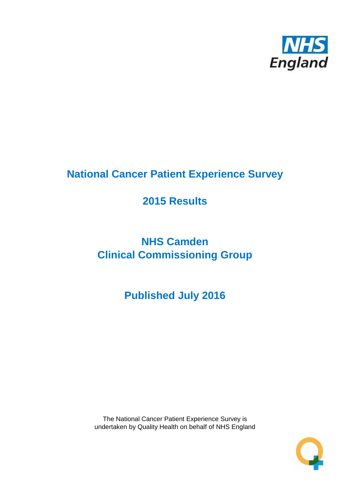

# **National Cancer Patient Experience Survey**

# **2015 Results**

# **NHS Camden Clinical Commissioning Group**

# **Published July 2016**

The National Cancer Patient Experience Survey is undertaken by Quality Health on behalf of NHS England

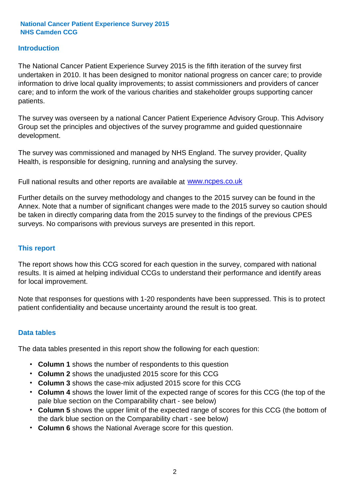#### **Introduction**

The National Cancer Patient Experience Survey 2015 is the fifth iteration of the survey first undertaken in 2010. It has been designed to monitor national progress on cancer care; to provide information to drive local quality improvements; to assist commissioners and providers of cancer care; and to inform the work of the various charities and stakeholder groups supporting cancer patients.

The survey was overseen by a national Cancer Patient Experience Advisory Group. This Advisory Group set the principles and objectives of the survey programme and guided questionnaire development.

The survey was commissioned and managed by NHS England. The survey provider, Quality Health, is responsible for designing, running and analysing the survey.

Full national results and other reports are available at www.ncpes.co.uk

Further details on the survey methodology and changes to the 2015 survey can be found in the Annex. Note that a number of significant changes were made to the 2015 survey so caution should be taken in directly comparing data from the 2015 survey to the findings of the previous CPES surveys. No comparisons with previous surveys are presented in this report.

#### **This report**

The report shows how this CCG scored for each question in the survey, compared with national results. It is aimed at helping individual CCGs to understand their performance and identify areas for local improvement.

Note that responses for questions with 1-20 respondents have been suppressed. This is to protect patient confidentiality and because uncertainty around the result is too great.

#### **Data tables**

The data tables presented in this report show the following for each question:

- **Column 1** shows the number of respondents to this question
- **Column 2** shows the unadjusted 2015 score for this CCG
- **Column 3** shows the case-mix adjusted 2015 score for this CCG
- **Column 4** shows the lower limit of the expected range of scores for this CCG (the top of the pale blue section on the Comparability chart - see below)
- **Column 5** shows the upper limit of the expected range of scores for this CCG (the bottom of the dark blue section on the Comparability chart - see below)
- **Column 6** shows the National Average score for this question.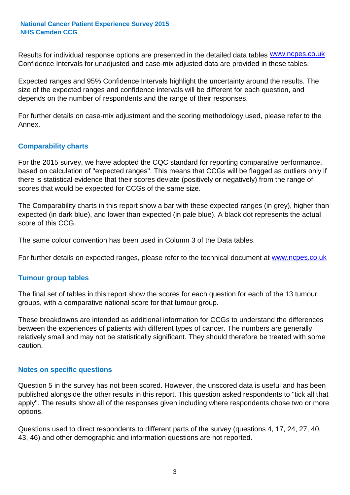Results for individual response options are presented in the detailed data tables **WWW.ncpes.co.uk** Confidence Intervals for unadjusted and case-mix adjusted data are provided in these tables.

Expected ranges and 95% Confidence Intervals highlight the uncertainty around the results. The size of the expected ranges and confidence intervals will be different for each question, and depends on the number of respondents and the range of their responses.

For further details on case-mix adjustment and the scoring methodology used, please refer to the Annex.

#### **Comparability charts**

For the 2015 survey, we have adopted the CQC standard for reporting comparative performance, based on calculation of "expected ranges". This means that CCGs will be flagged as outliers only if there is statistical evidence that their scores deviate (positively or negatively) from the range of scores that would be expected for CCGs of the same size.

The Comparability charts in this report show a bar with these expected ranges (in grey), higher than expected (in dark blue), and lower than expected (in pale blue). A black dot represents the actual score of this CCG.

The same colour convention has been used in Column 3 of the Data tables.

For further details on expected ranges, please refer to the technical document at **www.ncpes.co.uk** 

#### **Tumour group tables**

The final set of tables in this report show the scores for each question for each of the 13 tumour groups, with a comparative national score for that tumour group.

These breakdowns are intended as additional information for CCGs to understand the differences between the experiences of patients with different types of cancer. The numbers are generally relatively small and may not be statistically significant. They should therefore be treated with some caution.

#### **Notes on specific questions**

Question 5 in the survey has not been scored. However, the unscored data is useful and has been published alongside the other results in this report. This question asked respondents to "tick all that apply". The results show all of the responses given including where respondents chose two or more options.

Questions used to direct respondents to different parts of the survey (questions 4, 17, 24, 27, 40, 43, 46) and other demographic and information questions are not reported.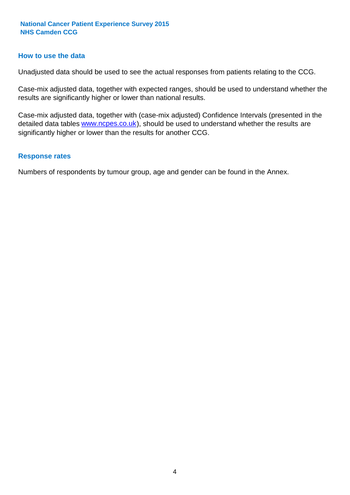#### **How to use the data**

Unadjusted data should be used to see the actual responses from patients relating to the CCG.

Case-mix adjusted data, together with expected ranges, should be used to understand whether the results are significantly higher or lower than national results.

Case-mix adjusted data, together with (case-mix adjusted) Confidence Intervals (presented in the detailed data tables **www.ncpes.co.uk**), should be used to understand whether the results are significantly higher or lower than the results for another CCG.

#### **Response rates**

Numbers of respondents by tumour group, age and gender can be found in the Annex.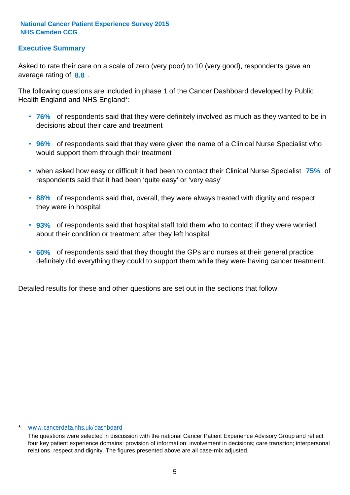#### **Executive Summary**

average rating of **8.8**. Asked to rate their care on a scale of zero (very poor) to 10 (very good), respondents gave an

The following questions are included in phase 1 of the Cancer Dashboard developed by Public Health England and NHS England\*:

- **76%** of respondents said that they were definitely involved as much as they wanted to be in decisions about their care and treatment
- **96%** of respondents said that they were given the name of a Clinical Nurse Specialist who would support them through their treatment
- when asked how easy or difficult it had been to contact their Clinical Nurse Specialist 75% of respondents said that it had been 'quite easy' or 'very easy'
- **88%** of respondents said that, overall, they were always treated with dignity and respect they were in hospital
- **93%** of respondents said that hospital staff told them who to contact if they were worried about their condition or treatment after they left hospital
- **60%** of respondents said that they thought the GPs and nurses at their general practice definitely did everything they could to support them while they were having cancer treatment.

Detailed results for these and other questions are set out in the sections that follow.

#### \* www.cancerdata.nhs.uk/dashboard

The questions were selected in discussion with the national Cancer Patient Experience Advisory Group and reflect four key patient experience domains: provision of information; involvement in decisions; care transition; interpersonal relations, respect and dignity. The figures presented above are all case-mix adjusted.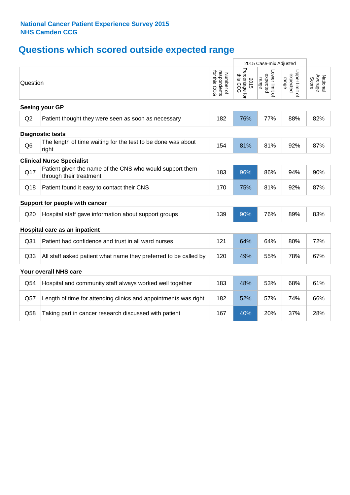## **Questions which scored outside expected range**

|                 |                                                                                     |                                          | 2015 Case-mix Adjusted             |                                     |                                     |                              |
|-----------------|-------------------------------------------------------------------------------------|------------------------------------------|------------------------------------|-------------------------------------|-------------------------------------|------------------------------|
| Question        |                                                                                     | respondents<br>for this CCG<br>Number of | Percentage for<br>this CCG<br>2015 | Lower limit of<br>expected<br>range | Upper limit of<br>expected<br>range | Average<br>National<br>Score |
|                 | Seeing your GP                                                                      |                                          |                                    |                                     |                                     |                              |
| Q2              | Patient thought they were seen as soon as necessary                                 | 182                                      | 76%                                | 77%                                 | 88%                                 | 82%                          |
|                 | <b>Diagnostic tests</b>                                                             |                                          |                                    |                                     |                                     |                              |
| Q <sub>6</sub>  | The length of time waiting for the test to be done was about<br>right               | 154                                      | 81%                                | 81%                                 | 92%                                 | 87%                          |
|                 | <b>Clinical Nurse Specialist</b>                                                    |                                          |                                    |                                     |                                     |                              |
| Q17             | Patient given the name of the CNS who would support them<br>through their treatment | 183                                      | 96%                                | 86%                                 | 94%                                 | 90%                          |
| Q18             | Patient found it easy to contact their CNS                                          | 170                                      | 75%                                | 81%                                 | 92%                                 | 87%                          |
|                 | Support for people with cancer                                                      |                                          |                                    |                                     |                                     |                              |
| Q20             | Hospital staff gave information about support groups                                | 139                                      | 90%                                | 76%                                 | 89%                                 | 83%                          |
|                 | Hospital care as an inpatient                                                       |                                          |                                    |                                     |                                     |                              |
| Q <sub>31</sub> | Patient had confidence and trust in all ward nurses                                 | 121                                      | 64%                                | 64%                                 | 80%                                 | 72%                          |
| Q <sub>33</sub> | All staff asked patient what name they preferred to be called by                    | 120                                      | 49%                                | 55%                                 | 78%                                 | 67%                          |
|                 | Your overall NHS care                                                               |                                          |                                    |                                     |                                     |                              |
| Q54             | Hospital and community staff always worked well together                            | 183                                      | 48%                                | 53%                                 | 68%                                 | 61%                          |
| Q57             | Length of time for attending clinics and appointments was right                     | 182                                      | 52%                                | 57%                                 | 74%                                 | 66%                          |
| Q58             | Taking part in cancer research discussed with patient                               | 167                                      | 40%                                | 20%                                 | 37%                                 | 28%                          |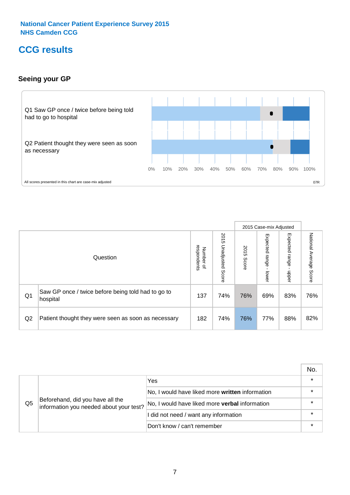### **CCG results**

#### **Seeing your GP**



|    |                                                                |                                              |                             |               | 2015 Case-mix Adjusted     |                            |                           |
|----|----------------------------------------------------------------|----------------------------------------------|-----------------------------|---------------|----------------------------|----------------------------|---------------------------|
|    | Question                                                       | respondents<br>Number<br>$\overline{\sigma}$ | 2015<br>Unadjusted<br>Score | 2015<br>Score | Expected<br>range<br>lower | Expected<br>range<br>doper | National Average<br>Score |
| Q1 | Saw GP once / twice before being told had to go to<br>hospital | 137                                          | 74%                         | 76%           | 69%                        | 83%                        | 76%                       |
| Q2 | Patient thought they were seen as soon as necessary            | 182                                          | 74%                         | 76%           | 77%                        | 88%                        | 82%                       |

|    |                                                                             |                                                 | No. |
|----|-----------------------------------------------------------------------------|-------------------------------------------------|-----|
|    |                                                                             | Yes                                             |     |
|    | Beforehand, did you have all the<br>information you needed about your test? | No, I would have liked more written information |     |
| Q5 |                                                                             | No, I would have liked more verbal information  |     |
|    |                                                                             | I did not need / want any information           |     |
|    |                                                                             | Don't know / can't remember                     |     |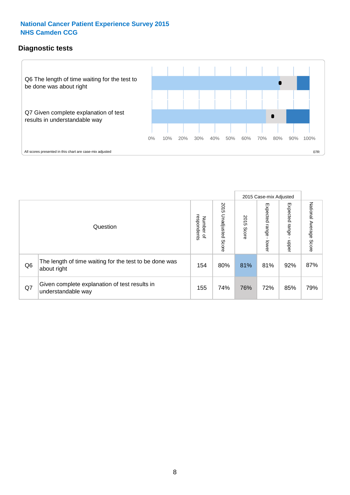#### **Diagnostic tests**



|                |                                                                       |                                       |                             |               | 2015 Case-mix Adjusted  |                         |                           |
|----------------|-----------------------------------------------------------------------|---------------------------------------|-----------------------------|---------------|-------------------------|-------------------------|---------------------------|
|                | Question                                                              | respondents<br>Number<br>$\mathbf{Q}$ | 2015<br>Unadjusted<br>Score | 2015<br>Score | Expected range<br>lower | Expected range<br>nbber | National Average<br>Score |
| Q <sub>6</sub> | The length of time waiting for the test to be done was<br>about right | 154                                   | 80%                         | 81%           | 81%                     | 92%                     | 87%                       |
| Q7             | Given complete explanation of test results in<br>understandable way   | 155                                   | 74%                         | 76%           | 72%                     | 85%                     | 79%                       |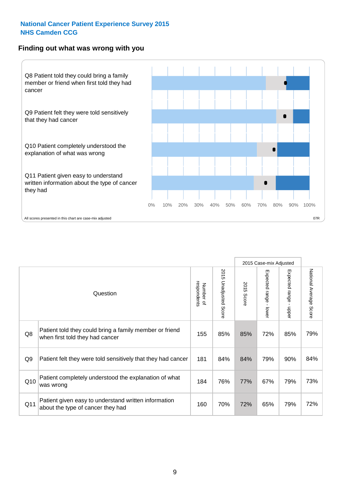#### **Finding out what was wrong with you**



|     |                                                                                            |                          |                       |               | 2015 Case-mix Adjusted |                         |                           |
|-----|--------------------------------------------------------------------------------------------|--------------------------|-----------------------|---------------|------------------------|-------------------------|---------------------------|
|     | Question                                                                                   | respondents<br>Number of | 2015 Unadjusted Score | 2015<br>Score | Expected range - lower | Expected range<br>nbber | National Average<br>Score |
| Q8  | Patient told they could bring a family member or friend<br>when first told they had cancer | 155                      | 85%                   | 85%           | 72%                    | 85%                     | 79%                       |
| Q9  | Patient felt they were told sensitively that they had cancer                               | 181                      | 84%                   | 84%           | 79%                    | 90%                     | 84%                       |
| Q10 | Patient completely understood the explanation of what<br>was wrong                         | 184                      | 76%                   | 77%           | 67%                    | 79%                     | 73%                       |
|     |                                                                                            |                          |                       |               |                        |                         |                           |

73%

Q11 160 70% 72% 65% 79% about the type of cancer they had 72%

Patient given easy to understand written information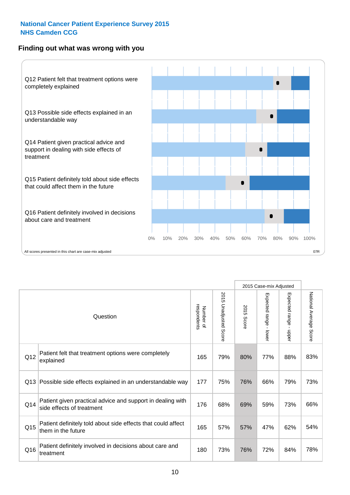#### **Finding out what was wrong with you**



|                 |                                                                                         |                          |                                 |               | 2015 Case-mix Adjusted                    |                        |                        |
|-----------------|-----------------------------------------------------------------------------------------|--------------------------|---------------------------------|---------------|-------------------------------------------|------------------------|------------------------|
|                 | Question                                                                                | Number of<br>respondents | 2015<br><b>Unadjusted Score</b> | 2015<br>Score | Expected range<br>$\blacksquare$<br>lower | Expected range - upper | National Average Score |
| Q12             | Patient felt that treatment options were completely<br>explained                        | 165                      | 79%                             | 80%           | 77%                                       | 88%                    | 83%                    |
| Q13             | Possible side effects explained in an understandable way                                | 177                      | 75%                             | 76%           | 66%                                       | 79%                    | 73%                    |
| Q14             | Patient given practical advice and support in dealing with<br>side effects of treatment | 176                      | 68%                             | 69%           | 59%                                       | 73%                    | 66%                    |
| Q <sub>15</sub> | Patient definitely told about side effects that could affect<br>them in the future      | 165                      | 57%                             | 57%           | 47%                                       | 62%                    | 54%                    |
| Q16             | Patient definitely involved in decisions about care and<br>treatment                    | 180                      | 73%                             | 76%           | 72%                                       | 84%                    | 78%                    |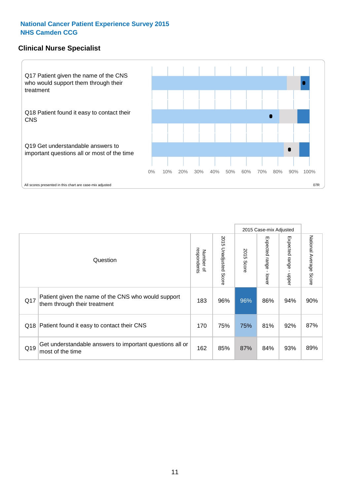#### **Clinical Nurse Specialist**



|     |                                                                                     |                          |                       |               | 2015 Case-mix Adjusted  |                         |                                  |
|-----|-------------------------------------------------------------------------------------|--------------------------|-----------------------|---------------|-------------------------|-------------------------|----------------------------------|
|     | Question                                                                            | Number of<br>respondents | 2015 Unadjusted Score | 2015<br>Score | Expected range<br>lower | Expected range<br>nbber | National Average<br><b>Score</b> |
| Q17 | Patient given the name of the CNS who would support<br>them through their treatment | 183                      | 96%                   | 96%           | 86%                     | 94%                     | 90%                              |
| Q18 | Patient found it easy to contact their CNS                                          | 170                      | 75%                   | 75%           | 81%                     | 92%                     | 87%                              |
| Q19 | Get understandable answers to important questions all or<br>most of the time        | 162                      | 85%                   | 87%           | 84%                     | 93%                     | 89%                              |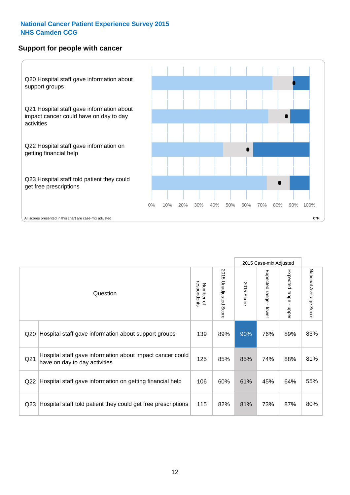#### **Support for people with cancer**



|                 |                                                                                            |                          |                                 |               | 2015 Case-mix Adjusted  |                                         |                        |
|-----------------|--------------------------------------------------------------------------------------------|--------------------------|---------------------------------|---------------|-------------------------|-----------------------------------------|------------------------|
|                 | Question                                                                                   | respondents<br>Number of | 2015<br><b>Unadjusted Score</b> | 2015<br>Score | Expected range<br>lower | Expected range<br>$\mathbf{I}$<br>nbber | National Average Score |
| Q <sub>20</sub> | Hospital staff gave information about support groups                                       | 139                      | 89%                             | 90%           | 76%                     | 89%                                     | 83%                    |
| Q <sub>21</sub> | Hospital staff gave information about impact cancer could<br>have on day to day activities | 125                      | 85%                             | 85%           | 74%                     | 88%                                     | 81%                    |
| Q22             | Hospital staff gave information on getting financial help                                  | 106                      | 60%                             | 61%           | 45%                     | 64%                                     | 55%                    |
| Q <sub>23</sub> | Hospital staff told patient they could get free prescriptions                              | 115                      | 82%                             | 81%           | 73%                     | 87%                                     | 80%                    |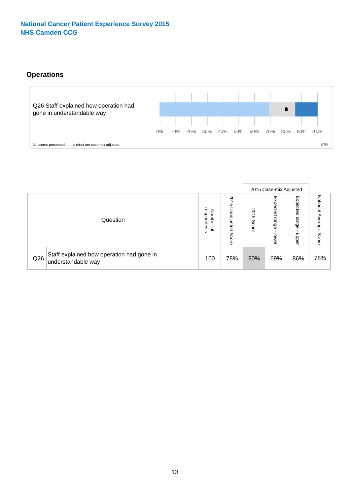#### **Operations**



|     |                                                                 |                                       |                             |                    | 2015 Case-mix Adjusted     |                            |                              |
|-----|-----------------------------------------------------------------|---------------------------------------|-----------------------------|--------------------|----------------------------|----------------------------|------------------------------|
|     | Question                                                        | respondents<br>Number<br>$\mathbf{a}$ | 2015<br>Unadjusted<br>Score | 201<br>CΠ<br>Score | Expected<br>range<br>lower | Expected<br>range<br>doper | National<br>Average<br>Score |
| Q26 | Staff explained how operation had gone in<br>understandable way | 100                                   | 78%                         | 80%                | 69%                        | 86%                        | 78%                          |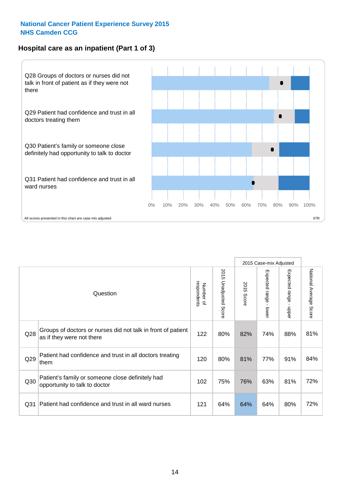#### **Hospital care as an inpatient (Part 1 of 3)**



All scores presented in this chart are case-mix adjusted  $07R$ 

|                 |                                                                                           |                          |                          |                      | 2015 Case-mix Adjusted                  |                           |                        |
|-----------------|-------------------------------------------------------------------------------------------|--------------------------|--------------------------|----------------------|-----------------------------------------|---------------------------|------------------------|
|                 | Question                                                                                  | respondents<br>Number of | 2015<br>Unadjusted Score | 2015<br><b>Score</b> | Expected range<br>$\mathbf{r}$<br>lower | Expected range<br>- nbber | National Average Score |
| Q <sub>28</sub> | Groups of doctors or nurses did not talk in front of patient<br>as if they were not there | 122                      | 80%                      | 82%                  | 74%                                     | 88%                       | 81%                    |
| Q29             | Patient had confidence and trust in all doctors treating<br>them                          | 120                      | 80%                      | 81%                  | 77%                                     | 91%                       | 84%                    |
| Q30             | Patient's family or someone close definitely had<br>opportunity to talk to doctor         | 102                      | 75%                      | 76%                  | 63%                                     | 81%                       | 72%                    |
| Q <sub>31</sub> | Patient had confidence and trust in all ward nurses                                       | 121                      | 64%                      | 64%                  | 64%                                     | 80%                       | 72%                    |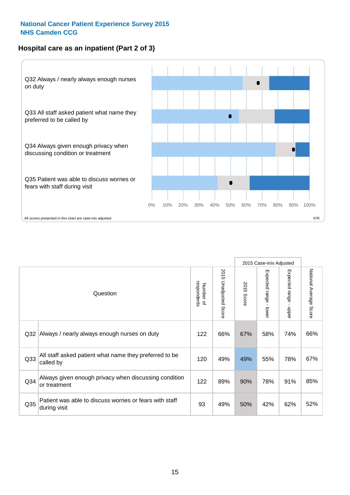#### **Hospital care as an inpatient (Part 2 of 3)**



| Question                                                                | respondents<br>Number of | 2015 Unadjusted Score | 2015<br>Score | Expected range<br>- lower | Expected range<br>$\blacksquare$<br>nbber | National Average Score |
|-------------------------------------------------------------------------|--------------------------|-----------------------|---------------|---------------------------|-------------------------------------------|------------------------|
| Always / nearly always enough nurses on duty                            | 122                      | 66%                   | 67%           | 58%                       | 74%                                       | 66%                    |
| All staff asked patient what name they preferred to be<br>called by     | 120                      | 49%                   | 49%           | 55%                       | 78%                                       | 67%                    |
| Always given enough privacy when discussing condition<br>or treatment   | 122                      | 89%                   | 90%           | 78%                       | 91%                                       | 85%                    |
| Patient was able to discuss worries or fears with staff<br>during visit | 93                       | 49%                   | 50%           | 42%                       | 62%                                       | 52%                    |
|                                                                         | Q32                      |                       |               |                           |                                           | 2015 Case-mix Adjusted |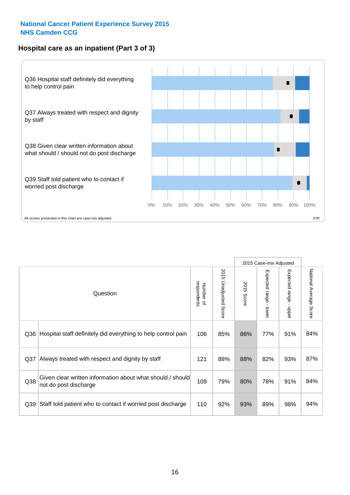#### **Hospital care as an inpatient (Part 3 of 3)**

![](_page_15_Figure_2.jpeg)

2015 Case-mix Adjusted National Average Score 2015 Unadjusted Score Expected range - lower Expected range - upper 2015 Unadjusted Score Expected range - upper Expected range - lower Number of<br>respondents respondents 2015 Score 2015 Score Number of Question Q36 Rospital staff definitely did everything to help control pain | 106 | 85% | 86% | 77% | 91% | 84% Q37 Always treated with respect and dignity by staff  $\vert$  121 | 88% | 88% | 82% | 93% | 87% Given clear written information about what should / should Q38 not do post discharge and the state of the color of the color of the color of the color of the color of the color of the color of the color of the color of the color of the color of the color of the color of the color Q39 Staff told patient who to contact if worried post discharge | 110 | 92% | 93% | 89% | 98% | 94%

National Average Score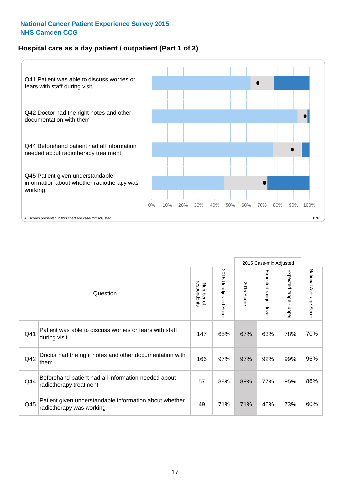#### **Hospital care as a day patient / outpatient (Part 1 of 2)**

![](_page_16_Figure_2.jpeg)

|     |                                                                                    |                          |                                 |                      | 2015 Case-mix Adjusted                    |                                       |                        |
|-----|------------------------------------------------------------------------------------|--------------------------|---------------------------------|----------------------|-------------------------------------------|---------------------------------------|------------------------|
|     | Question                                                                           | respondents<br>Number of | 2015<br><b>Unadjusted Score</b> | 2015<br><b>Score</b> | Expected range<br>$\blacksquare$<br>lower | Expected range<br>$\mathbf{I}$<br>ddo | National Average Score |
| Q41 | Patient was able to discuss worries or fears with staff<br>during visit            | 147                      | 65%                             | 67%                  | 63%                                       | 78%                                   | 70%                    |
| Q42 | Doctor had the right notes and other documentation with<br>them                    | 166                      | 97%                             | 97%                  | 92%                                       | 99%                                   | 96%                    |
| Q44 | Beforehand patient had all information needed about<br>radiotherapy treatment      | 57                       | 88%                             | 89%                  | 77%                                       | 95%                                   | 86%                    |
| Q45 | Patient given understandable information about whether<br>radiotherapy was working | 49                       | 71%                             | 71%                  | 46%                                       | 73%                                   | 60%                    |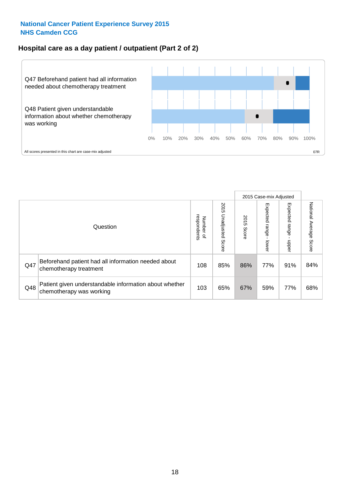#### **Hospital care as a day patient / outpatient (Part 2 of 2)**

![](_page_17_Figure_2.jpeg)

|     |                                                                                    |                             |                             |               | 2015 Case-mix Adjusted  |                          |                           |
|-----|------------------------------------------------------------------------------------|-----------------------------|-----------------------------|---------------|-------------------------|--------------------------|---------------------------|
|     | Question                                                                           | respondents<br>Number<br>டி | 2015<br>Unadjusted<br>Score | 2015<br>Score | Expected range<br>lower | Expected<br>range<br>dda | National Average<br>Score |
| Q47 | Beforehand patient had all information needed about<br>chemotherapy treatment      | 108                         | 85%                         | 86%           | 77%                     | 91%                      | 84%                       |
| Q48 | Patient given understandable information about whether<br>chemotherapy was working | 103                         | 65%                         | 67%           | 59%                     | 77%                      | 68%                       |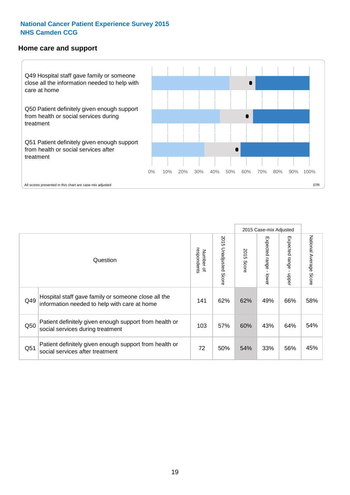#### **Home care and support**

![](_page_18_Figure_2.jpeg)

2015 Case-mix Adjusted 2015 Unadjusted Score Expected range - upper National Average Score 2015 Unadjusted Score Expected range - lower National Average Score Expected range - lower Expected range - upper Number of<br>respondents 2015 Score respondents 2015 Score Number of Question Hospital staff gave family or someone close all the  $Q49$  information needed to help with care at home  $Q49$  and  $Q2\%$  62% 49% 66% 58% Patient definitely given enough support from health or  $\frac{103}{\sqrt{103}}$  social services during treatment  $\frac{103}{\sqrt{103}}$  57% 60% 43% 64% 54% Patient definitely given enough support from health or Q51 social services after treatment<br>
Q51 social services after treatment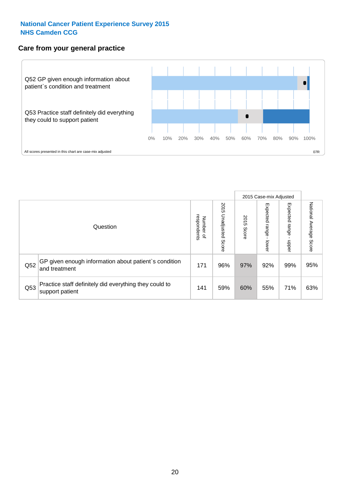#### **Care from your general practice**

![](_page_19_Figure_2.jpeg)

|     |                                                                           |                                   |                             |               | 2015 Case-mix Adjusted             |                            |                           |
|-----|---------------------------------------------------------------------------|-----------------------------------|-----------------------------|---------------|------------------------------------|----------------------------|---------------------------|
|     | Question                                                                  | respondents<br>Number<br>$\Omega$ | 2015<br>Unadjusted<br>Score | 2015<br>Score | Expected<br><b>Irange</b><br>lower | Expected<br>range<br>doper | National Average<br>Score |
| Q52 | GP given enough information about patient's condition<br>and treatment    | 171                               | 96%                         | 97%           | 92%                                | 99%                        | 95%                       |
| Q53 | Practice staff definitely did everything they could to<br>support patient | 141                               | 59%                         | 60%           | 55%                                | 71%                        | 63%                       |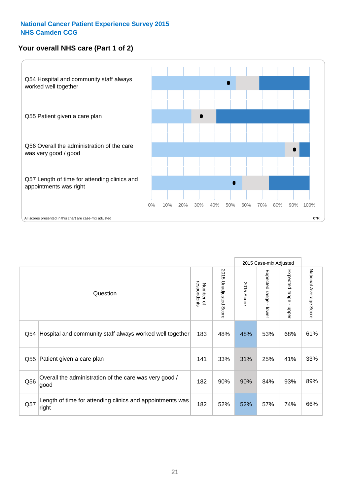#### **Your overall NHS care (Part 1 of 2)**

![](_page_20_Figure_2.jpeg)

|     |                                                                    |                          |                          |               | 2015 Case-mix Adjusted                    |                                           |                        |
|-----|--------------------------------------------------------------------|--------------------------|--------------------------|---------------|-------------------------------------------|-------------------------------------------|------------------------|
|     | Question                                                           | respondents<br>Number of | 2015<br>Unadjusted Score | 2015<br>Score | Expected range<br>$\blacksquare$<br>lower | Expected range<br>$\blacksquare$<br>nbber | National Average Score |
| Q54 | Hospital and community staff always worked well together           | 183                      | 48%                      | 48%           | 53%                                       | 68%                                       | 61%                    |
| Q55 | Patient given a care plan                                          | 141                      | 33%                      | 31%           | 25%                                       | 41%                                       | 33%                    |
| Q56 | Overall the administration of the care was very good /<br>good     | 182                      | 90%                      | 90%           | 84%                                       | 93%                                       | 89%                    |
| Q57 | Length of time for attending clinics and appointments was<br>right | 182                      | 52%                      | 52%           | 57%                                       | 74%                                       | 66%                    |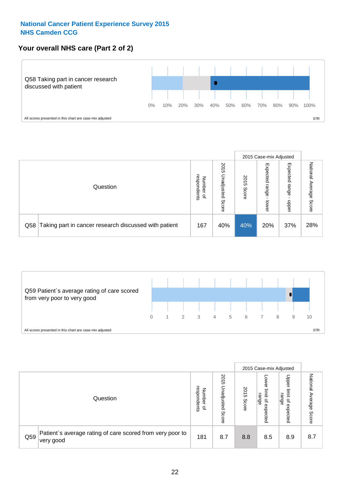#### **Your overall NHS care (Part 2 of 2)**

![](_page_21_Figure_2.jpeg)

|     |                                                       |                                              |                             |               | 2015 Case-mix Adjusted     |                            |                        |
|-----|-------------------------------------------------------|----------------------------------------------|-----------------------------|---------------|----------------------------|----------------------------|------------------------|
|     | Question                                              | respondents<br>Number<br>$\overline{\sigma}$ | 2015<br>Unadjusted<br>Score | 2015<br>Score | Expected<br>range<br>lower | Expected<br>range<br>doper | National Average Score |
| Q58 | Taking part in cancer research discussed with patient | 167                                          | 40%                         | 40%           | 20%                        | 37%                        | 28%                    |

![](_page_21_Figure_4.jpeg)

|     |                                                                        |                                              |                             |               | 2015 Case-mix Adjusted                    |                                                                 |                              |
|-----|------------------------------------------------------------------------|----------------------------------------------|-----------------------------|---------------|-------------------------------------------|-----------------------------------------------------------------|------------------------------|
|     | Question                                                               | respondents<br>Number<br>$\overline{\sigma}$ | 2015<br>Jnadjusted<br>Score | 2015<br>Score | OWer<br>limit<br>range<br>਼੍ਰ<br>expected | Upper<br>ilmit<br>range<br>$\overline{\mathcal{C}}$<br>expected | National<br>Average<br>Score |
| Q59 | Patient's average rating of care scored from very poor to<br>very good | 181                                          | 8.7                         | 8.8           | 8.5                                       | 8.9                                                             | 8.7                          |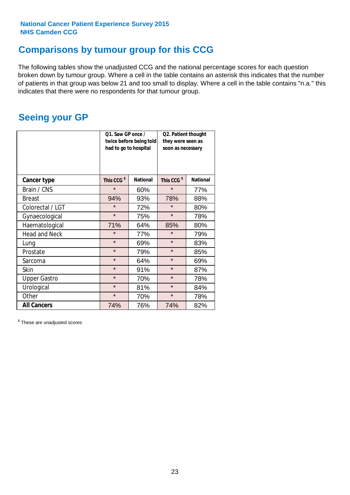### **Comparisons by tumour group for this CCG**

The following tables show the unadjusted CCG and the national percentage scores for each question broken down by tumour group. Where a cell in the table contains an asterisk this indicates that the number of patients in that group was below 21 and too small to display. Where a cell in the table contains "n.a." this indicates that there were no respondents for that tumour group.

### **Seeing your GP**

|                      | Q1. Saw GP once /<br>had to go to hospital | twice before being told | Q2. Patient thought<br>they were seen as<br>soon as necessary |                 |  |
|----------------------|--------------------------------------------|-------------------------|---------------------------------------------------------------|-----------------|--|
| <b>Cancer type</b>   | This CCG <sup>\$</sup>                     | <b>National</b>         | This CCG <sup>\$</sup>                                        | <b>National</b> |  |
| Brain / CNS          | $\star$                                    | 60%                     | $\star$                                                       | 77%             |  |
| <b>Breast</b>        | 94%                                        | 93%                     | 78%                                                           | 88%             |  |
| Colorectal / LGT     | $\star$                                    | 72%                     | $\star$                                                       | 80%             |  |
| Gynaecological       | $\star$                                    | 75%                     | $\star$                                                       | 78%             |  |
| Haematological       | 71%                                        | 64%                     | 85%                                                           | 80%             |  |
| <b>Head and Neck</b> | $\star$                                    | 77%                     | $\star$                                                       | 79%             |  |
| Lung                 | $\star$                                    | 69%                     | $\star$                                                       | 83%             |  |
| Prostate             | $\star$                                    | 79%                     | $\star$                                                       | 85%             |  |
| Sarcoma              | $\star$                                    | 64%                     | $\star$                                                       | 69%             |  |
| Skin                 | $\star$                                    | 91%                     | $\star$                                                       | 87%             |  |
| <b>Upper Gastro</b>  | $\star$                                    | 70%                     | $\star$                                                       | 78%             |  |
| Urological           | $\star$                                    | 81%                     | $\star$                                                       | 84%             |  |
| Other                | $\star$                                    | 70%                     | $\star$                                                       | 78%             |  |
| <b>All Cancers</b>   | 74%                                        | 76%                     | 74%                                                           | 82%             |  |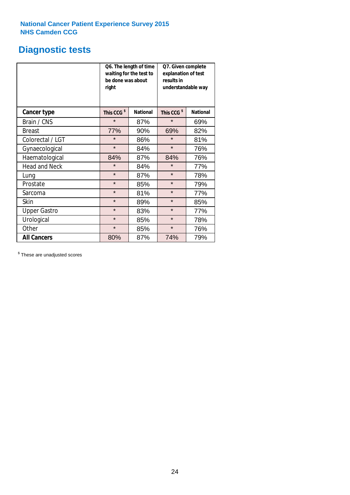### **Diagnostic tests**

|                      | be done was about<br>right | Q6. The length of time<br>waiting for the test to | Q7. Given complete<br>explanation of test<br>results in<br>understandable way |                 |  |
|----------------------|----------------------------|---------------------------------------------------|-------------------------------------------------------------------------------|-----------------|--|
| <b>Cancer type</b>   | This CCG <sup>\$</sup>     | <b>National</b>                                   | This CCG <sup>\$</sup>                                                        | <b>National</b> |  |
| Brain / CNS          | $\star$                    | 87%                                               | $\star$                                                                       | 69%             |  |
| <b>Breast</b>        | 77%                        | 90%                                               | 69%                                                                           | 82%             |  |
| Colorectal / LGT     | $\star$                    | 86%                                               | $\star$                                                                       | 81%             |  |
| Gynaecological       | $\star$                    | 84%                                               | $\star$                                                                       | 76%             |  |
| Haematological       | 84%                        | 87%                                               | 84%                                                                           | 76%             |  |
| <b>Head and Neck</b> | $\star$                    | 84%                                               | $\star$                                                                       | 77%             |  |
| Lung                 | $\star$                    | 87%                                               | $\star$                                                                       | 78%             |  |
| Prostate             | $\star$                    | 85%                                               | $\star$                                                                       | 79%             |  |
| Sarcoma              | $\star$                    | 81%                                               | $\star$                                                                       | 77%             |  |
| <b>Skin</b>          | $\star$                    | 89%                                               | $\star$                                                                       | 85%             |  |
| <b>Upper Gastro</b>  | $\star$                    | 83%                                               | $\star$                                                                       | 77%             |  |
| Urological           | $\star$                    | 85%                                               | $\star$                                                                       | 78%             |  |
| Other                | $\star$                    | 85%                                               | $\star$                                                                       | 76%             |  |
| <b>All Cancers</b>   | 80%                        | 87%                                               | 74%                                                                           | 79%             |  |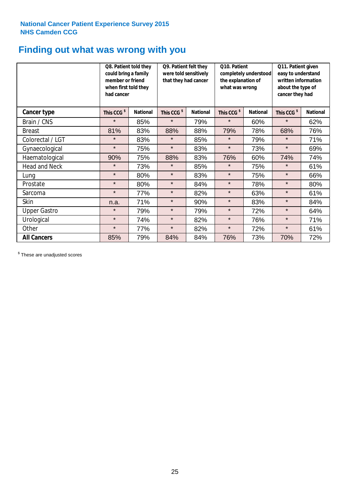### **Finding out what was wrong with you**

|                      | Q8. Patient told they<br>could bring a family<br>member or friend<br>when first told they<br>had cancer |                 | Q9. Patient felt they<br>were told sensitively<br>that they had cancer |                 | Q10. Patient<br>completely understood<br>the explanation of<br>what was wrong |                 | Q11. Patient given<br>easy to understand<br>written information<br>about the type of<br>cancer they had |                 |
|----------------------|---------------------------------------------------------------------------------------------------------|-----------------|------------------------------------------------------------------------|-----------------|-------------------------------------------------------------------------------|-----------------|---------------------------------------------------------------------------------------------------------|-----------------|
| Cancer type          | This CCG <sup>\$</sup>                                                                                  | <b>National</b> | This CCG <sup>\$</sup>                                                 | <b>National</b> | This CCG <sup>\$</sup>                                                        | <b>National</b> | This CCG <sup>\$</sup>                                                                                  | <b>National</b> |
| Brain / CNS          | $\star$                                                                                                 | 85%             | $\star$                                                                | 79%             | $\star$                                                                       | 60%             | $\star$                                                                                                 | 62%             |
| <b>Breast</b>        | 81%                                                                                                     | 83%             | 88%                                                                    | 88%             | 79%                                                                           | 78%             | 68%                                                                                                     | 76%             |
| Colorectal / LGT     | $\star$                                                                                                 | 83%             | $\star$                                                                | 85%             | $\star$                                                                       | 79%             | $\star$                                                                                                 | 71%             |
| Gynaecological       | $\star$                                                                                                 | 75%             | $\star$                                                                | 83%             | $\star$                                                                       | 73%             | $\star$                                                                                                 | 69%             |
| Haematological       | 90%                                                                                                     | 75%             | 88%                                                                    | 83%             | 76%                                                                           | 60%             | 74%                                                                                                     | 74%             |
| <b>Head and Neck</b> | $\star$                                                                                                 | 73%             | $\star$                                                                | 85%             | $\star$                                                                       | 75%             | $\star$                                                                                                 | 61%             |
| Lung                 | $\star$                                                                                                 | 80%             | $\star$                                                                | 83%             | $\star$                                                                       | 75%             | $\star$                                                                                                 | 66%             |
| Prostate             | $\star$                                                                                                 | 80%             | $\star$                                                                | 84%             | $\star$                                                                       | 78%             | $\star$                                                                                                 | 80%             |
| Sarcoma              | $\star$                                                                                                 | 77%             | $\star$                                                                | 82%             | $\star$                                                                       | 63%             | $\star$                                                                                                 | 61%             |
| Skin                 | n.a.                                                                                                    | 71%             | $\star$                                                                | 90%             | $\star$                                                                       | 83%             | $\star$                                                                                                 | 84%             |
| <b>Upper Gastro</b>  | $\star$                                                                                                 | 79%             | $\star$                                                                | 79%             | $\star$                                                                       | 72%             | $\star$                                                                                                 | 64%             |
| Urological           | $\star$                                                                                                 | 74%             | $\star$                                                                | 82%             | $\star$                                                                       | 76%             | $\star$                                                                                                 | 71%             |
| Other                | $\star$                                                                                                 | 77%             | $\star$                                                                | 82%             | $\star$                                                                       | 72%             | $\star$                                                                                                 | 61%             |
| <b>All Cancers</b>   | 85%                                                                                                     | 79%             | 84%                                                                    | 84%             | 76%                                                                           | 73%             | 70%                                                                                                     | 72%             |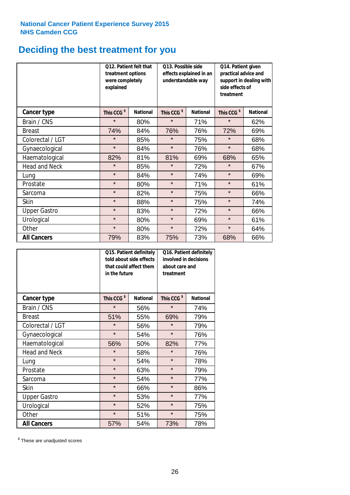## **Deciding the best treatment for you**

|                      | were completely<br>explained | Q12. Patient felt that<br>Q13. Possible side<br>effects explained in an<br>treatment options<br>understandable way |                        |                 | Q14. Patient given<br>practical advice and<br>support in dealing with<br>side effects of<br>treatment |                 |  |
|----------------------|------------------------------|--------------------------------------------------------------------------------------------------------------------|------------------------|-----------------|-------------------------------------------------------------------------------------------------------|-----------------|--|
| <b>Cancer type</b>   | This CCG <sup>\$</sup>       | <b>National</b>                                                                                                    | This CCG <sup>\$</sup> | <b>National</b> | This CCG <sup>\$</sup>                                                                                | <b>National</b> |  |
| Brain / CNS          | $\star$                      | 80%                                                                                                                | $\star$                | 71%             | $\star$                                                                                               | 62%             |  |
| <b>Breast</b>        | 74%                          | 84%                                                                                                                | 76%                    | 76%             | 72%                                                                                                   | 69%             |  |
| Colorectal / LGT     | $\star$                      | 85%                                                                                                                | $\star$                | 75%             | $\star$                                                                                               | 68%             |  |
| Gynaecological       | $\star$                      | 84%                                                                                                                | $\star$                | 76%             | $\star$                                                                                               | 68%             |  |
| Haematological       | 82%                          | 81%                                                                                                                | 81%                    | 69%             | 68%                                                                                                   | 65%             |  |
| <b>Head and Neck</b> | $\star$                      | 85%                                                                                                                | $\star$                | 72%             | $\star$                                                                                               | 67%             |  |
| Lung                 | $\star$                      | 84%                                                                                                                | $\star$                | 74%             | $\star$                                                                                               | 69%             |  |
| Prostate             | $\star$                      | 80%                                                                                                                | $\star$                | 71%             | $\star$                                                                                               | 61%             |  |
| Sarcoma              | $\star$                      | 82%                                                                                                                | $\star$                | 75%             | $\star$                                                                                               | 66%             |  |
| Skin                 | $\star$                      | 88%                                                                                                                | $\star$                | 75%             | $\star$                                                                                               | 74%             |  |
| <b>Upper Gastro</b>  | $\star$                      | 83%                                                                                                                | $\star$                | 72%             | $\star$                                                                                               | 66%             |  |
| Urological           | $\star$                      | 80%                                                                                                                | $\star$                | 69%             | $\star$                                                                                               | 61%             |  |
| Other                | $\star$                      | 80%                                                                                                                | $\star$                | 72%             | $\star$                                                                                               | 64%             |  |
| <b>All Cancers</b>   | 79%                          | 83%                                                                                                                | 75%                    | 73%             | 68%                                                                                                   | 66%             |  |

|                      | in the future          | Q15. Patient definitely<br>told about side effects<br>that could affect them | Q16. Patient definitely<br>involved in decisions<br>about care and<br>treatment |                 |  |
|----------------------|------------------------|------------------------------------------------------------------------------|---------------------------------------------------------------------------------|-----------------|--|
| <b>Cancer type</b>   | This CCG <sup>\$</sup> | <b>National</b>                                                              | This CCG <sup>\$</sup>                                                          | <b>National</b> |  |
| Brain / CNS          | $\star$                | 56%                                                                          | $\star$                                                                         | 74%             |  |
| <b>Breast</b>        | 51%                    | 55%                                                                          | 69%                                                                             | 79%             |  |
| Colorectal / LGT     | $\star$                | 56%                                                                          | $\star$                                                                         | 79%             |  |
| Gynaecological       | $\star$                | 54%                                                                          |                                                                                 | 76%             |  |
| Haematological       | 56%                    | 50%                                                                          |                                                                                 | 77%             |  |
| <b>Head and Neck</b> | $\star$                | 58%                                                                          | $\star$                                                                         | 76%             |  |
| Lung                 | $\star$                | 54%                                                                          | $\star$                                                                         | 78%             |  |
| Prostate             | $\star$                | 63%                                                                          | $\star$                                                                         | 79%             |  |
| Sarcoma              | $\star$                | 54%                                                                          | $\star$                                                                         | 77%             |  |
| Skin                 | $\star$                | 66%                                                                          | $\star$                                                                         | 86%             |  |
| <b>Upper Gastro</b>  | $\star$                | 53%                                                                          | $\star$                                                                         | 77%             |  |
| Urological           | $\star$                | 52%                                                                          | $\star$                                                                         | 75%             |  |
| Other                | $\star$                | 51%                                                                          | $\star$                                                                         | 75%             |  |
| <b>All Cancers</b>   | 57%                    | 54%                                                                          | 73%                                                                             | 78%             |  |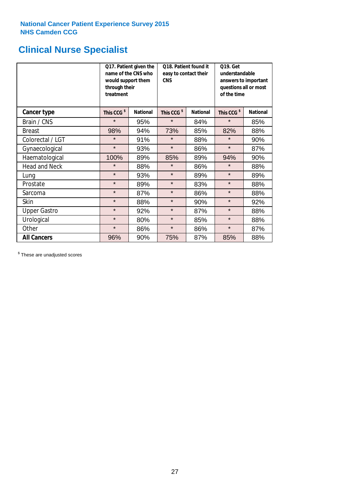### **Clinical Nurse Specialist**

|                      | would support them<br>through their<br>treatment | Q17. Patient given the<br>name of the CNS who | Q18. Patient found it<br>easy to contact their<br><b>CNS</b> |                 | <b>Q19. Get</b><br>understandable<br>answers to important<br>questions all or most<br>of the time |                 |  |
|----------------------|--------------------------------------------------|-----------------------------------------------|--------------------------------------------------------------|-----------------|---------------------------------------------------------------------------------------------------|-----------------|--|
| <b>Cancer type</b>   | This CCG <sup>\$</sup>                           | <b>National</b>                               | This CCG <sup>\$</sup>                                       | <b>National</b> | This CCG <sup>\$</sup>                                                                            | <b>National</b> |  |
| Brain / CNS          | $\star$                                          | 95%                                           | $\star$                                                      | 84%             | $\star$                                                                                           | 85%             |  |
| <b>Breast</b>        | 98%                                              | 94%                                           | 73%                                                          | 85%             | 82%                                                                                               | 88%             |  |
| Colorectal / LGT     | $\star$                                          | 91%                                           | $\star$                                                      | 88%             | $\star$                                                                                           | 90%             |  |
| Gynaecological       | $\star$                                          | 93%                                           | $\star$                                                      | 86%             | $\star$                                                                                           | 87%             |  |
| Haematological       | 100%                                             | 89%                                           | 85%                                                          | 89%             | 94%                                                                                               | 90%             |  |
| <b>Head and Neck</b> | $\star$                                          | 88%                                           | $\star$                                                      | 86%             | $\star$                                                                                           | 88%             |  |
| Lung                 | $\star$                                          | 93%                                           | $\star$                                                      | 89%             | $\star$                                                                                           | 89%             |  |
| Prostate             | $\star$                                          | 89%                                           | $\star$                                                      | 83%             | $\star$                                                                                           | 88%             |  |
| Sarcoma              | $\star$                                          | 87%                                           | $\star$                                                      | 86%             | $\star$                                                                                           | 88%             |  |
| Skin                 | $\star$                                          | 88%                                           | $\star$                                                      | 90%             | $\star$                                                                                           | 92%             |  |
| <b>Upper Gastro</b>  | $\star$                                          | 92%                                           | $\star$                                                      | 87%             | $\star$                                                                                           | 88%             |  |
| Urological           | $\star$                                          | 80%                                           | $\star$                                                      | 85%             | $\star$                                                                                           | 88%             |  |
| Other                | $\star$                                          | 86%                                           | $\star$                                                      | 86%             | $\star$                                                                                           | 87%             |  |
| <b>All Cancers</b>   | 96%                                              | 90%                                           | 75%                                                          | 87%             | 85%                                                                                               | 88%             |  |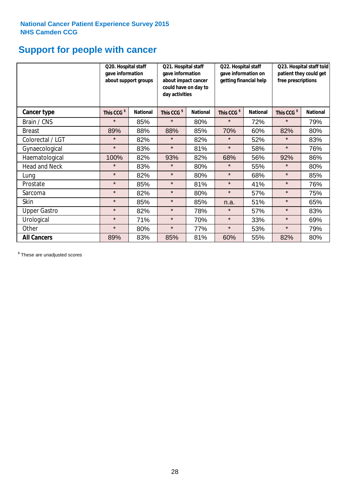## **Support for people with cancer**

|                      | Q20. Hospital staff<br>gave information | about support groups | Q21. Hospital staff<br>gave information<br>about impact cancer<br>could have on day to<br>day activities |                 | Q22. Hospital staff<br>gave information on<br>getting financial help |                 | Q23. Hospital staff told<br>patient they could get<br>free prescriptions |                 |
|----------------------|-----------------------------------------|----------------------|----------------------------------------------------------------------------------------------------------|-----------------|----------------------------------------------------------------------|-----------------|--------------------------------------------------------------------------|-----------------|
| Cancer type          | This CCG <sup>\$</sup>                  | <b>National</b>      | This CCG <sup>\$</sup>                                                                                   | <b>National</b> | This CCG <sup>\$</sup>                                               | <b>National</b> | This CCG <sup>\$</sup>                                                   | <b>National</b> |
| Brain / CNS          | $\star$                                 | 85%                  | $\star$                                                                                                  | 80%             | $\star$                                                              | 72%             | $\star$                                                                  | 79%             |
| <b>Breast</b>        | 89%                                     | 88%                  | 88%                                                                                                      | 85%             | 70%                                                                  | 60%             | 82%                                                                      | 80%             |
| Colorectal / LGT     | $\star$                                 | 82%                  | $\star$                                                                                                  | 82%             | $\star$                                                              | 52%             | $\star$                                                                  | 83%             |
| Gynaecological       | $\star$                                 | 83%                  | $\star$                                                                                                  | 81%             | $\star$                                                              | 58%             | $\star$                                                                  | 76%             |
| Haematological       | 100%                                    | 82%                  | 93%                                                                                                      | 82%             | 68%                                                                  | 56%             | 92%                                                                      | 86%             |
| <b>Head and Neck</b> | $\star$                                 | 83%                  | $\star$                                                                                                  | 80%             | $\star$                                                              | 55%             | $\star$                                                                  | 80%             |
| Lung                 | $\star$                                 | 82%                  | $\star$                                                                                                  | 80%             | $\star$                                                              | 68%             | $\star$                                                                  | 85%             |
| Prostate             | $\star$                                 | 85%                  | $\star$                                                                                                  | 81%             | $\star$                                                              | 41%             | $\star$                                                                  | 76%             |
| Sarcoma              | $\star$                                 | 82%                  | $\star$                                                                                                  | 80%             | $\star$                                                              | 57%             | $\star$                                                                  | 75%             |
| Skin                 | $\star$                                 | 85%                  | $\star$                                                                                                  | 85%             | n.a.                                                                 | 51%             | $\star$                                                                  | 65%             |
| <b>Upper Gastro</b>  | $\star$                                 | 82%                  | $\star$                                                                                                  | 78%             | $\star$                                                              | 57%             | $\star$                                                                  | 83%             |
| Urological           | $\star$                                 | 71%                  | $\star$                                                                                                  | 70%             | $\star$                                                              | 33%             | $\star$                                                                  | 69%             |
| Other                | $\star$                                 | 80%                  | $\star$                                                                                                  | 77%             | $\star$                                                              | 53%             | $\star$                                                                  | 79%             |
| <b>All Cancers</b>   | 89%                                     | 83%                  | 85%                                                                                                      | 81%             | 60%                                                                  | 55%             | 82%                                                                      | 80%             |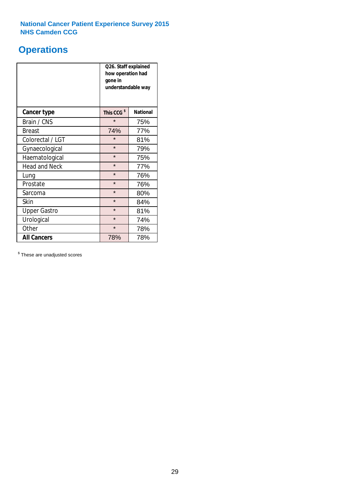### **Operations**

|                      | Q26. Staff explained<br>how operation had<br>gone in<br>understandable way |                 |  |  |  |
|----------------------|----------------------------------------------------------------------------|-----------------|--|--|--|
| <b>Cancer type</b>   | This CCG <sup>\$</sup>                                                     | <b>National</b> |  |  |  |
| Brain / CNS          | $\star$                                                                    | 75%             |  |  |  |
| <b>Breast</b>        | 74%                                                                        | 77%             |  |  |  |
| Colorectal / LGT     | $\star$                                                                    | 81%             |  |  |  |
| Gynaecological       | $\star$                                                                    | 79%             |  |  |  |
| Haematological       | $\star$                                                                    | 75%             |  |  |  |
| <b>Head and Neck</b> | $\star$                                                                    | 77%             |  |  |  |
| Lung                 | $\star$                                                                    | 76%             |  |  |  |
| Prostate             | $\star$                                                                    | 76%             |  |  |  |
| Sarcoma              | $\star$                                                                    | 80%             |  |  |  |
| Skin                 | $\star$                                                                    | 84%             |  |  |  |
| <b>Upper Gastro</b>  | $\star$                                                                    | 81%             |  |  |  |
| Urological           | $\star$<br>74%                                                             |                 |  |  |  |
| Other                | $\star$<br>78%                                                             |                 |  |  |  |
| <b>All Cancers</b>   | 78%<br>78%                                                                 |                 |  |  |  |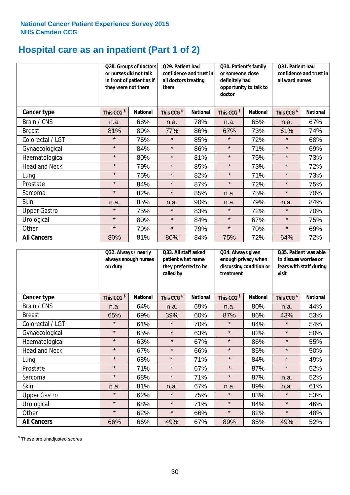## **Hospital care as an inpatient (Part 1 of 2)**

|                      | or nurses did not talk<br>they were not there | Q28. Groups of doctors<br>in front of patient as if | Q29. Patient had<br>confidence and trust in<br>all doctors treating<br>them |                 | Q30. Patient's family<br>or someone close<br>definitely had<br>opportunity to talk to<br>doctor |                 | Q31. Patient had<br>confidence and trust in<br>all ward nurses |                 |
|----------------------|-----------------------------------------------|-----------------------------------------------------|-----------------------------------------------------------------------------|-----------------|-------------------------------------------------------------------------------------------------|-----------------|----------------------------------------------------------------|-----------------|
| Cancer type          | This CCG <sup>\$</sup>                        | <b>National</b>                                     | This CCG <sup>\$</sup>                                                      | <b>National</b> | This CCG <sup>\$</sup>                                                                          | <b>National</b> | This CCG <sup>\$</sup>                                         | <b>National</b> |
| Brain / CNS          | n.a.                                          | 68%                                                 | n.a.                                                                        | 78%             | n.a.                                                                                            | 65%             | n.a.                                                           | 67%             |
| <b>Breast</b>        | 81%                                           | 89%                                                 | 77%                                                                         | 86%             | 67%                                                                                             | 73%             | 61%                                                            | 74%             |
| Colorectal / LGT     | $\star$                                       | 75%                                                 | $\star$                                                                     | 85%             | $\star$                                                                                         | 72%             | $\star$                                                        | 68%             |
| Gynaecological       | $\star$                                       | 84%                                                 | $\star$                                                                     | 86%             | $\star$                                                                                         | 71%             | $\star$                                                        | 69%             |
| Haematological       | $\star$                                       | 80%                                                 | $\star$                                                                     | 81%             | $\star$                                                                                         | 75%             | $\star$                                                        | 73%             |
| <b>Head and Neck</b> | $\star$                                       | 79%                                                 | $\star$                                                                     | 85%             | $\star$                                                                                         | 73%             | $\star$                                                        | 72%             |
| Lung                 | $\star$                                       | 75%                                                 | $\star$                                                                     | 82%             | $\star$                                                                                         | 71%             | $\star$                                                        | 73%             |
| Prostate             | $\star$                                       | 84%                                                 | $\star$                                                                     | 87%             | $\star$                                                                                         | 72%             | $\star$                                                        | 75%             |
| Sarcoma              | $\star$                                       | 82%                                                 | $\star$                                                                     | 85%             | n.a.                                                                                            | 75%             | $\star$                                                        | 70%             |
| Skin                 | n.a.                                          | 85%                                                 | n.a.                                                                        | 90%             | n.a.                                                                                            | 79%             | n.a.                                                           | 84%             |
| <b>Upper Gastro</b>  | $\star$                                       | 75%                                                 | $\star$                                                                     | 83%             | $\star$                                                                                         | 72%             | $\star$                                                        | 70%             |
| Urological           | $\star$                                       | 80%                                                 | $\star$                                                                     | 84%             | $\star$                                                                                         | 67%             | $\star$                                                        | 75%             |
| Other                | $\star$                                       | 79%                                                 | $\star$                                                                     | 79%             | $\star$                                                                                         | 70%             | $\star$                                                        | 69%             |
| <b>All Cancers</b>   | 80%                                           | 81%                                                 | 80%                                                                         | 84%             | 75%                                                                                             | 72%             | 64%                                                            | 72%             |

|                      | on duty                | Q32. Always / nearly<br>always enough nurses |                        | Q33. All staff asked<br>patient what name<br>they preferred to be<br>called by |                        | Q34. Always given<br>enough privacy when<br>discussing condition or<br>treatment |                        | Q35. Patient was able<br>to discuss worries or<br>fears with staff during<br>visit |  |
|----------------------|------------------------|----------------------------------------------|------------------------|--------------------------------------------------------------------------------|------------------------|----------------------------------------------------------------------------------|------------------------|------------------------------------------------------------------------------------|--|
| <b>Cancer type</b>   | This CCG <sup>\$</sup> | <b>National</b>                              | This CCG <sup>\$</sup> | <b>National</b>                                                                | This CCG <sup>\$</sup> | <b>National</b>                                                                  | This CCG <sup>\$</sup> | <b>National</b>                                                                    |  |
| Brain / CNS          | n.a.                   | 64%                                          | n.a.                   | 69%                                                                            | n.a.                   | 80%                                                                              | n.a.                   | 44%                                                                                |  |
| <b>Breast</b>        | 65%                    | 69%                                          | 39%                    | 60%                                                                            | 87%                    | 86%                                                                              | 43%                    | 53%                                                                                |  |
| Colorectal / LGT     | $\star$                | 61%                                          | $\star$                | 70%                                                                            | $\star$                | 84%                                                                              | $\star$                | 54%                                                                                |  |
| Gynaecological       | $\star$                | 65%                                          | $\star$                | 63%                                                                            | $\star$                | 82%                                                                              | $\star$                | 50%                                                                                |  |
| Haematological       | $\star$                | 63%                                          | $\star$                | 67%                                                                            | $\star$                | 86%                                                                              | $\star$                | 55%                                                                                |  |
| <b>Head and Neck</b> | $\star$                | 67%                                          | $\star$                | 66%                                                                            | $\star$                | 85%                                                                              | $\star$                | 50%                                                                                |  |
| Lung                 | $\star$                | 68%                                          | $\star$                | 71%                                                                            | $\star$                | 84%                                                                              | $\star$                | 49%                                                                                |  |
| Prostate             | $\star$                | 71%                                          | $\star$                | 67%                                                                            | $\star$                | 87%                                                                              | $\star$                | 52%                                                                                |  |
| Sarcoma              | $\star$                | 68%                                          | $\star$                | 71%                                                                            | $\star$                | 87%                                                                              | n.a.                   | 52%                                                                                |  |
| Skin                 | n.a.                   | 81%                                          | n.a.                   | 67%                                                                            | n.a.                   | 89%                                                                              | n.a.                   | 61%                                                                                |  |
| <b>Upper Gastro</b>  | $\star$                | 62%                                          | $\star$                | 75%                                                                            | $\star$                | 83%                                                                              | $\star$                | 53%                                                                                |  |
| Urological           | $\star$                | 68%                                          | $\star$                | 71%                                                                            | $\star$                | 84%                                                                              | $\star$                | 46%                                                                                |  |
| Other                | $\star$                | 62%                                          | $\star$                | 66%                                                                            | $\star$                | 82%                                                                              | $\star$                | 48%                                                                                |  |
| <b>All Cancers</b>   | 66%                    | 66%                                          | 49%                    | 67%                                                                            | 89%                    | 85%                                                                              | 49%                    | 52%                                                                                |  |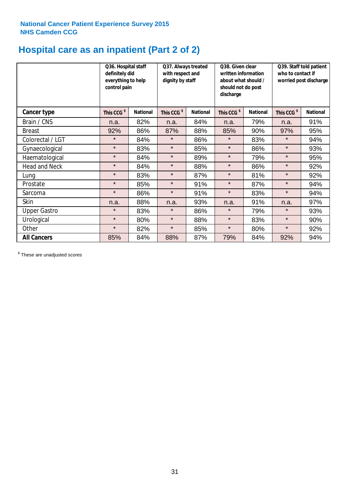## **Hospital care as an inpatient (Part 2 of 2)**

|                      | Q36. Hospital staff<br>definitely did<br>everything to help<br>control pain |                 | Q37. Always treated<br>with respect and<br>dignity by staff |                 | Q38. Given clear<br>written information<br>about what should /<br>should not do post<br>discharge |                 | Q39. Staff told patient<br>who to contact if<br>worried post discharge |                 |
|----------------------|-----------------------------------------------------------------------------|-----------------|-------------------------------------------------------------|-----------------|---------------------------------------------------------------------------------------------------|-----------------|------------------------------------------------------------------------|-----------------|
| Cancer type          | This CCG <sup>\$</sup>                                                      | <b>National</b> | This CCG <sup>\$</sup>                                      | <b>National</b> | This CCG <sup>\$</sup>                                                                            | <b>National</b> | This CCG <sup>\$</sup>                                                 | <b>National</b> |
| Brain / CNS          | n.a.                                                                        | 82%             | n.a.                                                        | 84%             | n.a.                                                                                              | 79%             | n.a.                                                                   | 91%             |
| <b>Breast</b>        | 92%                                                                         | 86%             | 87%                                                         | 88%             | 85%                                                                                               | 90%             | 97%                                                                    | 95%             |
| Colorectal / LGT     | $\star$                                                                     | 84%             | $\star$                                                     | 86%             | $\star$                                                                                           | 83%             | $\star$                                                                | 94%             |
| Gynaecological       | $\star$                                                                     | 83%             | $\star$                                                     | 85%             | $\star$                                                                                           | 86%             | $\star$                                                                | 93%             |
| Haematological       | $\star$                                                                     | 84%             | $\star$                                                     | 89%             | $\star$                                                                                           | 79%             | $\star$                                                                | 95%             |
| <b>Head and Neck</b> | $\star$                                                                     | 84%             | $\star$                                                     | 88%             | $\star$                                                                                           | 86%             | $\star$                                                                | 92%             |
| Lung                 | $\star$                                                                     | 83%             | $\star$                                                     | 87%             | $\star$                                                                                           | 81%             | $\star$                                                                | 92%             |
| Prostate             | $\star$                                                                     | 85%             | $\star$                                                     | 91%             | $\star$                                                                                           | 87%             | $\star$                                                                | 94%             |
| Sarcoma              | $\star$                                                                     | 86%             | $\star$                                                     | 91%             | $\star$                                                                                           | 83%             | $\star$                                                                | 94%             |
| Skin                 | n.a.                                                                        | 88%             | n.a.                                                        | 93%             | n.a.                                                                                              | 91%             | n.a.                                                                   | 97%             |
| <b>Upper Gastro</b>  | $\star$                                                                     | 83%             | $\star$                                                     | 86%             | $\star$                                                                                           | 79%             | $\star$                                                                | 93%             |
| Urological           | $\star$                                                                     | 80%             | $\star$                                                     | 88%             | $\star$                                                                                           | 83%             | $\star$                                                                | 90%             |
| Other                | $\star$                                                                     | 82%             | $\star$                                                     | 85%             | $\star$                                                                                           | 80%             | $\star$                                                                | 92%             |
| <b>All Cancers</b>   | 85%                                                                         | 84%             | 88%                                                         | 87%             | 79%                                                                                               | 84%             | 92%                                                                    | 94%             |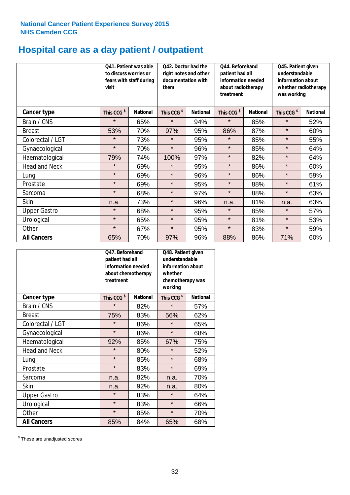## **Hospital care as a day patient / outpatient**

|                      | to discuss worries or<br>visit | Q41. Patient was able<br>fears with staff during | Q42. Doctor had the<br>right notes and other<br>documentation with<br>them |                 | Q45. Patient given<br>understandable<br>patient had all<br>information needed<br>information about<br>about radiotherapy<br>whether radiotherapy<br>treatment<br>was working |                 | Q44. Beforehand        |                 |  |
|----------------------|--------------------------------|--------------------------------------------------|----------------------------------------------------------------------------|-----------------|------------------------------------------------------------------------------------------------------------------------------------------------------------------------------|-----------------|------------------------|-----------------|--|
| Cancer type          | This CCG <sup>\$</sup>         | <b>National</b>                                  | This CCG <sup>\$</sup>                                                     | <b>National</b> | This CCG <sup>\$</sup>                                                                                                                                                       | <b>National</b> | This CCG <sup>\$</sup> | <b>National</b> |  |
| Brain / CNS          | $\star$                        | 65%                                              | $\star$                                                                    | 94%             | $\star$                                                                                                                                                                      | 85%             | $\star$                | 52%             |  |
| <b>Breast</b>        | 53%                            | 70%                                              | 97%                                                                        | 95%             | 86%                                                                                                                                                                          | 87%             | $\star$                | 60%             |  |
| Colorectal / LGT     | $\star$                        | 73%                                              | $\star$                                                                    | 95%             | $\star$                                                                                                                                                                      | 85%             | $\star$                | 55%             |  |
| Gynaecological       | $\star$                        | 70%                                              | $\star$                                                                    | 96%             | $\star$                                                                                                                                                                      | 85%             | $\star$                | 64%             |  |
| Haematological       | 79%                            | 74%                                              | 100%                                                                       | 97%             | $\star$                                                                                                                                                                      | 82%             | $\star$                | 64%             |  |
| <b>Head and Neck</b> | $\star$                        | 69%                                              | $\star$                                                                    | 95%             | $\star$                                                                                                                                                                      | 86%             | $\star$                | 60%             |  |
| Lung                 | $\star$                        | 69%                                              | $\star$                                                                    | 96%             | $\star$                                                                                                                                                                      | 86%             | $\star$                | 59%             |  |
| Prostate             | $\star$                        | 69%                                              | $\star$                                                                    | 95%             | $\star$                                                                                                                                                                      | 88%             | $\star$                | 61%             |  |
| Sarcoma              | $\star$                        | 68%                                              | $\star$                                                                    | 97%             | $\star$                                                                                                                                                                      | 88%             | $\star$                | 63%             |  |
| Skin                 | n.a.                           | 73%                                              | $\star$                                                                    | 96%             | n.a.                                                                                                                                                                         | 81%             | n.a.                   | 63%             |  |
| <b>Upper Gastro</b>  | $\star$                        | 68%                                              | $\star$                                                                    | 95%             | $\star$                                                                                                                                                                      | 85%             | $\star$                | 57%             |  |
| Urological           | $\star$                        | 65%                                              | $\star$                                                                    | 95%             | $\star$                                                                                                                                                                      | 81%             | $\star$                | 53%             |  |
| Other                | $\star$                        | 67%                                              | $\star$                                                                    | 95%             | $\star$                                                                                                                                                                      | 83%             | $\star$                | 59%             |  |
| <b>All Cancers</b>   | 65%                            | 70%                                              | 97%                                                                        | 96%             | 88%                                                                                                                                                                          | 86%             | 71%                    | 60%             |  |

|                      | O47. Beforehand<br>patient had all<br>information needed<br>treatment | about chemotherapy | Q48. Patient given<br>understandable<br>information about<br>whether<br>chemotherapy was<br>working |                 |
|----------------------|-----------------------------------------------------------------------|--------------------|-----------------------------------------------------------------------------------------------------|-----------------|
| <b>Cancer type</b>   | This CCG <sup>\$</sup>                                                | <b>National</b>    | This CCG <sup>\$</sup>                                                                              | <b>National</b> |
| Brain / CNS          | $\star$                                                               | 82%                | $\star$                                                                                             | 57%             |
| <b>Breast</b>        | 75%                                                                   | 83%                | 56%                                                                                                 | 62%             |
| Colorectal / LGT     | $\star$                                                               | 86%                | $\star$                                                                                             | 65%             |
| Gynaecological       | $\star$                                                               | 86%                | $\star$                                                                                             | 68%             |
| Haematological       | 92%                                                                   | 85%                | 67%                                                                                                 | 75%             |
| <b>Head and Neck</b> | $\star$                                                               | 80%                | $\star$                                                                                             | 52%             |
| Lung                 | $\star$                                                               | 85%                | $\star$                                                                                             | 68%             |
| Prostate             | $\star$                                                               | 83%                | $\star$                                                                                             | 69%             |
| Sarcoma              | n.a.                                                                  | 82%                | n.a.                                                                                                | 70%             |
| Skin                 | n.a.                                                                  | 92%                | n.a.                                                                                                | 80%             |
| <b>Upper Gastro</b>  | $\star$                                                               | 83%                | $\star$                                                                                             | 64%             |
| Urological           | $\star$                                                               | 83%                | $\star$                                                                                             | 66%             |
| Other                | $\star$                                                               | 85%                | $\star$                                                                                             | 70%             |
| <b>All Cancers</b>   | 85%                                                                   | 84%                | 65%                                                                                                 | 68%             |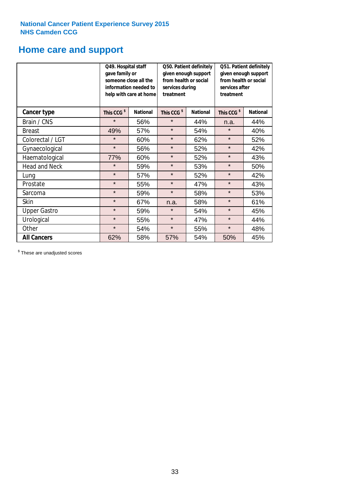### **Home care and support**

|                      | Q49. Hospital staff<br>gave family or<br>someone close all the<br>information needed to<br>treatment<br>help with care at home |                 | Q50. Patient definitely<br>given enough support<br>from health or social<br>services during |                 | Q51. Patient definitely<br>given enough support<br>from health or social<br>services after |                 |
|----------------------|--------------------------------------------------------------------------------------------------------------------------------|-----------------|---------------------------------------------------------------------------------------------|-----------------|--------------------------------------------------------------------------------------------|-----------------|
| <b>Cancer type</b>   | This CCG <sup>\$</sup>                                                                                                         | <b>National</b> | This CCG <sup>\$</sup>                                                                      | <b>National</b> | This CCG <sup>\$</sup>                                                                     | <b>National</b> |
| Brain / CNS          | $\star$                                                                                                                        | 56%             | $\star$                                                                                     | 44%             | n.a.                                                                                       | 44%             |
| <b>Breast</b>        | 49%                                                                                                                            | 57%             | $\star$                                                                                     | 54%             | $\star$                                                                                    | 40%             |
| Colorectal / LGT     | $\star$                                                                                                                        | 60%             | $\star$                                                                                     | 62%             | $\star$                                                                                    | 52%             |
| Gynaecological       | $\star$                                                                                                                        | 56%             | $\star$                                                                                     | 52%             | $\star$                                                                                    | 42%             |
| Haematological       | 77%                                                                                                                            | 60%             | $\star$                                                                                     | 52%             | $\star$                                                                                    | 43%             |
| <b>Head and Neck</b> | $\star$                                                                                                                        | 59%             | $\star$                                                                                     | 53%             | $\star$                                                                                    | 50%             |
| Lung                 | $\star$                                                                                                                        | 57%             | $\star$                                                                                     | 52%             | $\star$                                                                                    | 42%             |
| Prostate             | $\star$                                                                                                                        | 55%             | $\star$                                                                                     | 47%             | $\star$                                                                                    | 43%             |
| Sarcoma              | $\star$                                                                                                                        | 59%             | $\star$                                                                                     | 58%             | $\star$                                                                                    | 53%             |
| Skin                 | $\star$                                                                                                                        | 67%             | n.a.                                                                                        | 58%             | $\star$                                                                                    | 61%             |
| <b>Upper Gastro</b>  | $\star$                                                                                                                        | 59%             | $\star$<br>54%                                                                              |                 | $\star$                                                                                    | 45%             |
| Urological           | $\star$                                                                                                                        | 55%             | $\star$<br>47%                                                                              |                 | $\star$                                                                                    | 44%             |
| Other                | $\star$                                                                                                                        | 54%             | $\star$                                                                                     | 55%             | $\star$                                                                                    | 48%             |
| <b>All Cancers</b>   | 62%                                                                                                                            | 58%             | 57%                                                                                         | 54%             | 50%                                                                                        | 45%             |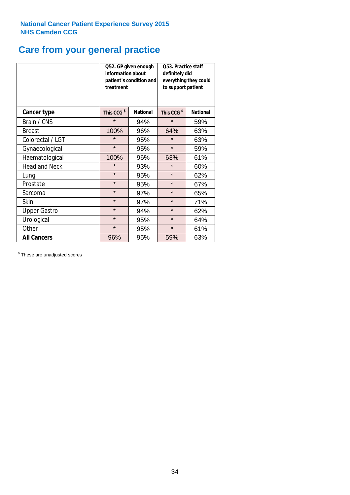## **Care from your general practice**

|                      | information about<br>treatment | Q52. GP given enough<br>patient's condition and | O53. Practice staff<br>definitely did<br>everything they could<br>to support patient |                 |  |
|----------------------|--------------------------------|-------------------------------------------------|--------------------------------------------------------------------------------------|-----------------|--|
| <b>Cancer type</b>   | This CCG <sup>\$</sup>         | <b>National</b>                                 | This CCG <sup>\$</sup>                                                               | <b>National</b> |  |
| Brain / CNS          | $\star$                        | 94%                                             | $\star$                                                                              | 59%             |  |
| <b>Breast</b>        | 100%                           | 96%                                             | 64%                                                                                  | 63%             |  |
| Colorectal / LGT     | $\star$                        | 95%                                             | $\star$                                                                              | 63%             |  |
| Gynaecological       | $\star$                        | 95%                                             | $\star$                                                                              | 59%             |  |
| Haematological       | 100%                           | 96%                                             | 63%                                                                                  | 61%             |  |
| <b>Head and Neck</b> | $\star$                        | 93%                                             | $\star$                                                                              | 60%             |  |
| Lung                 | $\star$                        | 95%                                             | $\star$                                                                              | 62%             |  |
| Prostate             | $\star$                        | 95%                                             | $\star$                                                                              | 67%             |  |
| Sarcoma              | $\star$                        | 97%                                             | $\star$                                                                              | 65%             |  |
| Skin                 | $\star$                        | 97%                                             | $\star$                                                                              | 71%             |  |
| <b>Upper Gastro</b>  | $\star$                        | 94%                                             | $\star$                                                                              | 62%             |  |
| Urological           | $\star$                        | 95%                                             | $\star$                                                                              | 64%             |  |
| Other                | $\star$                        | 95%                                             | $\star$                                                                              | 61%             |  |
| <b>All Cancers</b>   | 96%                            | 95%                                             | 59%                                                                                  | 63%             |  |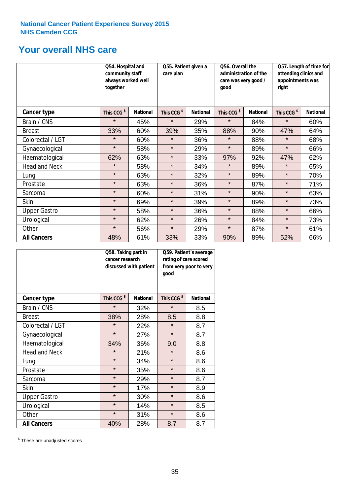### **Your overall NHS care**

|                      | together               | Q54. Hospital and<br>community staff<br>always worked well |                        | Q55. Patient given a<br>care plan |                        | Q56. Overall the<br>administration of the<br>care was very good /<br>qood |                        | Q57. Length of time for<br>attending clinics and<br>appointments was<br>right |  |
|----------------------|------------------------|------------------------------------------------------------|------------------------|-----------------------------------|------------------------|---------------------------------------------------------------------------|------------------------|-------------------------------------------------------------------------------|--|
| <b>Cancer type</b>   | This CCG <sup>\$</sup> | <b>National</b>                                            | This CCG <sup>\$</sup> | <b>National</b>                   | This CCG <sup>\$</sup> | <b>National</b>                                                           | This CCG <sup>\$</sup> | <b>National</b>                                                               |  |
| Brain / CNS          | $\star$                | 45%                                                        | $\star$                | 29%                               | $\star$                | 84%                                                                       | $\star$                | 60%                                                                           |  |
| <b>Breast</b>        | 33%                    | 60%                                                        | 39%                    | 35%                               | 88%                    | 90%                                                                       | 47%                    | 64%                                                                           |  |
| Colorectal / LGT     | $\star$                | 60%                                                        | $\star$                | 36%                               | $\star$                | 88%                                                                       | $\star$                | 68%                                                                           |  |
| Gynaecological       | $\star$                | 58%                                                        | $\star$                | 29%                               | $\star$                | 89%                                                                       | $\star$                | 66%                                                                           |  |
| Haematological       | 62%                    | 63%                                                        | $\star$                | 33%                               | 97%                    | 92%                                                                       | 47%                    | 62%                                                                           |  |
| <b>Head and Neck</b> | $\star$                | 58%                                                        | $\star$                | 34%                               | $\star$                | 89%                                                                       | $\star$                | 65%                                                                           |  |
| Lung                 | $\star$                | 63%                                                        | $\star$                | 32%                               | $\star$                | 89%                                                                       | $\star$                | 70%                                                                           |  |
| Prostate             | $\star$                | 63%                                                        | $\star$                | 36%                               | $\star$                | 87%                                                                       | $\star$                | 71%                                                                           |  |
| Sarcoma              | $\star$                | 60%                                                        | $\star$                | 31%                               | $\star$                | 90%                                                                       | $\star$                | 63%                                                                           |  |
| Skin                 | $\star$                | 69%                                                        | $\star$                | 39%                               | $\star$                | 89%                                                                       | $\star$                | 73%                                                                           |  |
| <b>Upper Gastro</b>  | $\star$                | 58%                                                        | $\star$                | 36%                               | $\star$                | 88%                                                                       | $\star$                | 66%                                                                           |  |
| Urological           | $\star$                | 62%                                                        | $\star$                | 26%                               | $\star$                | 84%                                                                       | $\star$                | 73%                                                                           |  |
| Other                | $\star$                | 56%                                                        | $\star$                | 29%                               | $\star$                | 87%                                                                       | $\star$                | 61%                                                                           |  |
| <b>All Cancers</b>   | 48%                    | 61%                                                        | 33%                    | 33%                               | 90%                    | 89%                                                                       | 52%                    | 66%                                                                           |  |

|                      | Q58. Taking part in<br>cancer research | discussed with patient | Q59. Patient's average<br>rating of care scored<br>from very poor to very<br>good |                 |  |
|----------------------|----------------------------------------|------------------------|-----------------------------------------------------------------------------------|-----------------|--|
| <b>Cancer type</b>   | This CCG <sup>\$</sup>                 | <b>National</b>        | This CCG <sup>\$</sup>                                                            | <b>National</b> |  |
| Brain / CNS          | $\star$                                | 32%                    | $\star$                                                                           | 8.5             |  |
| <b>Breast</b>        | 38%                                    | 28%                    | 8.5                                                                               | 8.8             |  |
| Colorectal / LGT     | $\star$                                | 22%                    | $\star$                                                                           | 8.7             |  |
| Gynaecological       | $\star$                                | 27%                    | $\star$                                                                           | 8.7             |  |
| Haematological       | 34%                                    | 36%                    | 9.0                                                                               | 8.8             |  |
| <b>Head and Neck</b> | $\star$                                | 21%                    | $\star$                                                                           | 8.6             |  |
| Lung                 | $\star$                                | 34%                    | $\star$                                                                           | 8.6             |  |
| Prostate             | $\star$                                | 35%                    | $\star$                                                                           | 8.6             |  |
| Sarcoma              | $\star$                                | 29%                    | $\star$                                                                           | 8.7             |  |
| Skin                 | $\star$                                | 17%                    | $\star$                                                                           | 8.9             |  |
| <b>Upper Gastro</b>  | $\star$                                | 30%                    | $\star$                                                                           | 8.6             |  |
| Urological           | $\star$                                | 14%                    | $\star$                                                                           | 8.5             |  |
| Other                | $\star$                                | 31%                    | $\star$                                                                           | 8.6             |  |
| <b>All Cancers</b>   | 40%                                    | 28%                    | 8.7                                                                               | 8.7             |  |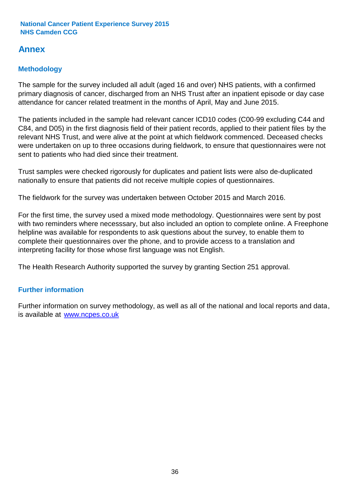### **Annex**

### **Methodology**

The sample for the survey included all adult (aged 16 and over) NHS patients, with a confirmed primary diagnosis of cancer, discharged from an NHS Trust after an inpatient episode or day case attendance for cancer related treatment in the months of April, May and June 2015.

The patients included in the sample had relevant cancer ICD10 codes (C00-99 excluding C44 and C84, and D05) in the first diagnosis field of their patient records, applied to their patient files by the relevant NHS Trust, and were alive at the point at which fieldwork commenced. Deceased checks were undertaken on up to three occasions during fieldwork, to ensure that questionnaires were not sent to patients who had died since their treatment.

Trust samples were checked rigorously for duplicates and patient lists were also de-duplicated nationally to ensure that patients did not receive multiple copies of questionnaires.

The fieldwork for the survey was undertaken between October 2015 and March 2016.

For the first time, the survey used a mixed mode methodology. Questionnaires were sent by post with two reminders where necesssary, but also included an option to complete online. A Freephone helpline was available for respondents to ask questions about the survey, to enable them to complete their questionnaires over the phone, and to provide access to a translation and interpreting facility for those whose first language was not English.

The Health Research Authority supported the survey by granting Section 251 approval.

#### **Further information**

Further information on survey methodology, as well as all of the national and local reports and data, is available at www.ncpes.co.uk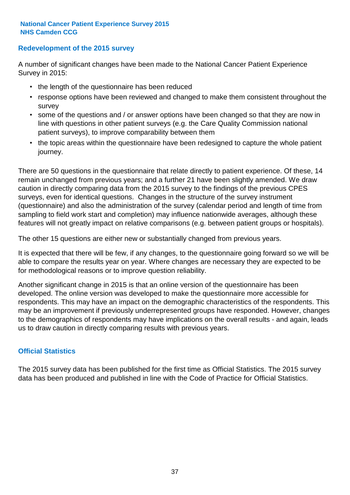#### **Redevelopment of the 2015 survey**

A number of significant changes have been made to the National Cancer Patient Experience Survey in 2015:

- the length of the questionnaire has been reduced
- response options have been reviewed and changed to make them consistent throughout the survey
- some of the questions and / or answer options have been changed so that they are now in line with questions in other patient surveys (e.g. the Care Quality Commission national patient surveys), to improve comparability between them
- the topic areas within the questionnaire have been redesigned to capture the whole patient journey.

There are 50 questions in the questionnaire that relate directly to patient experience. Of these, 14 remain unchanged from previous years; and a further 21 have been slightly amended. We draw caution in directly comparing data from the 2015 survey to the findings of the previous CPES surveys, even for identical questions. Changes in the structure of the survey instrument (questionnaire) and also the administration of the survey (calendar period and length of time from sampling to field work start and completion) may influence nationwide averages, although these features will not greatly impact on relative comparisons (e.g. between patient groups or hospitals).

The other 15 questions are either new or substantially changed from previous years.

It is expected that there will be few, if any changes, to the questionnaire going forward so we will be able to compare the results year on year. Where changes are necessary they are expected to be for methodological reasons or to improve question reliability.

Another significant change in 2015 is that an online version of the questionnaire has been developed. The online version was developed to make the questionnaire more accessible for respondents. This may have an impact on the demographic characteristics of the respondents. This may be an improvement if previously underrepresented groups have responded. However, changes to the demographics of respondents may have implications on the overall results - and again, leads us to draw caution in directly comparing results with previous years.

#### **Official Statistics**

The 2015 survey data has been published for the first time as Official Statistics. The 2015 survey data has been produced and published in line with the Code of Practice for Official Statistics.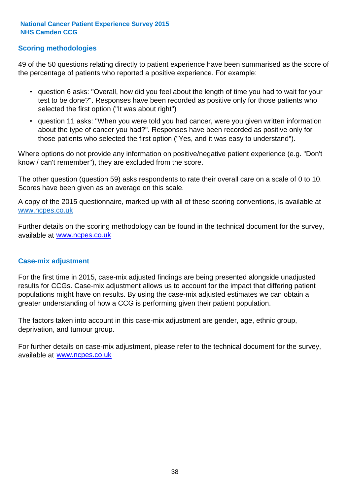#### **Scoring methodologies**

49 of the 50 questions relating directly to patient experience have been summarised as the score of the percentage of patients who reported a positive experience. For example:

- question 6 asks: "Overall, how did you feel about the length of time you had to wait for your test to be done?". Responses have been recorded as positive only for those patients who selected the first option ("It was about right")
- question 11 asks: "When you were told you had cancer, were you given written information about the type of cancer you had?". Responses have been recorded as positive only for those patients who selected the first option ("Yes, and it was easy to understand").

Where options do not provide any information on positive/negative patient experience (e.g. "Don't know / can't remember"), they are excluded from the score.

The other question (question 59) asks respondents to rate their overall care on a scale of 0 to 10. Scores have been given as an average on this scale.

A copy of the 2015 questionnaire, marked up with all of these scoring conventions, is available at www.ncpes.co.uk

Further details on the scoring methodology can be found in the technical document for the survey, available at <u>www.ncpes.co.uk</u>

#### **Case-mix adjustment**

For the first time in 2015, case-mix adjusted findings are being presented alongside unadjusted results for CCGs. Case-mix adjustment allows us to account for the impact that differing patient populations might have on results. By using the case-mix adjusted estimates we can obtain a greater understanding of how a CCG is performing given their patient population.

The factors taken into account in this case-mix adjustment are gender, age, ethnic group, deprivation, and tumour group.

For further details on case-mix adjustment, please refer to the technical document for the survey, available at www.ncpes.co.uk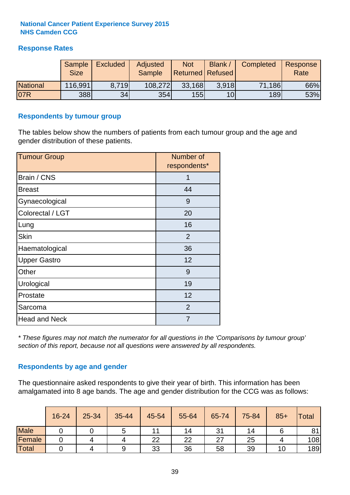#### **Response Rates**

|                 | <b>Sample</b><br><b>Size</b> | <b>Excluded</b> | Adjusted<br><b>Sample</b> | <b>Not</b><br><b>Returned Refused</b> | <b>Blank</b>    | <b>Completed</b> | Response<br>Rate |
|-----------------|------------------------------|-----------------|---------------------------|---------------------------------------|-----------------|------------------|------------------|
| <b>National</b> | 116,991                      | 8.719           | 108,272                   | 33,168                                | 3.918           | 71,186           | 66%              |
| 07R             | 388                          | 34              | <b>354</b>                | 155                                   | 10 <sub>l</sub> | 189              | 53%              |

#### **Respondents by tumour group**

The tables below show the numbers of patients from each tumour group and the age and gender distribution of these patients.

| <b>Tumour Group</b>  | Number of<br>respondents* |
|----------------------|---------------------------|
| Brain / CNS          | 1                         |
| <b>Breast</b>        | 44                        |
| Gynaecological       | 9                         |
| Colorectal / LGT     | 20                        |
| Lung                 | 16                        |
| <b>Skin</b>          | 2                         |
| Haematological       | 36                        |
| <b>Upper Gastro</b>  | 12                        |
| Other                | 9                         |
| Urological           | 19                        |
| Prostate             | 12                        |
| Sarcoma              | 2                         |
| <b>Head and Neck</b> | 7                         |

*\* These figures may not match the numerator for all questions in the 'Comparisons by tumour group' section of this report, because not all questions were answered by all respondents.*

#### **Respondents by age and gender**

The questionnaire asked respondents to give their year of birth. This information has been amalgamated into 8 age bands. The age and gender distribution for the CCG was as follows:

|             | 16-24 | 25-34 | 35-44 | 45-54 | 55-64 | 65-74 | 75-84 | $85+$ | Total |
|-------------|-------|-------|-------|-------|-------|-------|-------|-------|-------|
| <b>Male</b> |       |       |       |       | 14    | 31    | 14    |       | 81    |
| Female      |       |       | 4     | 22    | 22    | 27    | 25    |       | 108   |
| Total       |       |       | 9     | 33    | 36    | 58    | 39    | 10    | 189   |